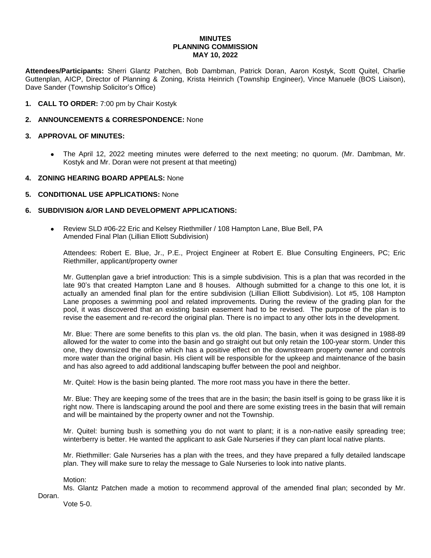# **MINUTES PLANNING COMMISSION MAY 10, 2022**

**Attendees/Participants:** Sherri Glantz Patchen, Bob Dambman, Patrick Doran, Aaron Kostyk, Scott Quitel, Charlie Guttenplan, AICP, Director of Planning & Zoning, Krista Heinrich (Township Engineer), Vince Manuele (BOS Liaison), Dave Sander (Township Solicitor's Office)

**1. CALL TO ORDER:** 7:00 pm by Chair Kostyk

# **2. ANNOUNCEMENTS & CORRESPONDENCE:** None

# **3. APPROVAL OF MINUTES:**

 The April 12, 2022 meeting minutes were deferred to the next meeting; no quorum. (Mr. Dambman, Mr. Kostyk and Mr. Doran were not present at that meeting)

### **4. ZONING HEARING BOARD APPEALS:** None

# **5. CONDITIONAL USE APPLICATIONS:** None

### **6. SUBDIVISION &/OR LAND DEVELOPMENT APPLICATIONS:**

 Review SLD #06-22 Eric and Kelsey Riethmiller / 108 Hampton Lane, Blue Bell, PA Amended Final Plan (Lillian Elliott Subdivision)

Attendees: Robert E. Blue, Jr., P.E., Project Engineer at Robert E. Blue Consulting Engineers, PC; Eric Riethmiller, applicant/property owner

Mr. Guttenplan gave a brief introduction: This is a simple subdivision. This is a plan that was recorded in the late 90's that created Hampton Lane and 8 houses. Although submitted for a change to this one lot, it is actually an amended final plan for the entire subdivision (Lillian Elliott Subdivision). Lot #5, 108 Hampton Lane proposes a swimming pool and related improvements. During the review of the grading plan for the pool, it was discovered that an existing basin easement had to be revised. The purpose of the plan is to revise the easement and re-record the original plan. There is no impact to any other lots in the development.

Mr. Blue: There are some benefits to this plan vs. the old plan. The basin, when it was designed in 1988-89 allowed for the water to come into the basin and go straight out but only retain the 100-year storm. Under this one, they downsized the orifice which has a positive effect on the downstream property owner and controls more water than the original basin. His client will be responsible for the upkeep and maintenance of the basin and has also agreed to add additional landscaping buffer between the pool and neighbor.

Mr. Quitel: How is the basin being planted. The more root mass you have in there the better.

Mr. Blue: They are keeping some of the trees that are in the basin; the basin itself is going to be grass like it is right now. There is landscaping around the pool and there are some existing trees in the basin that will remain and will be maintained by the property owner and not the Township.

Mr. Quitel: burning bush is something you do not want to plant; it is a non-native easily spreading tree; winterberry is better. He wanted the applicant to ask Gale Nurseries if they can plant local native plants.

Mr. Riethmiller: Gale Nurseries has a plan with the trees, and they have prepared a fully detailed landscape plan. They will make sure to relay the message to Gale Nurseries to look into native plants.

Motion:

Ms. Glantz Patchen made a motion to recommend approval of the amended final plan; seconded by Mr. Doran.

Vote 5-0.